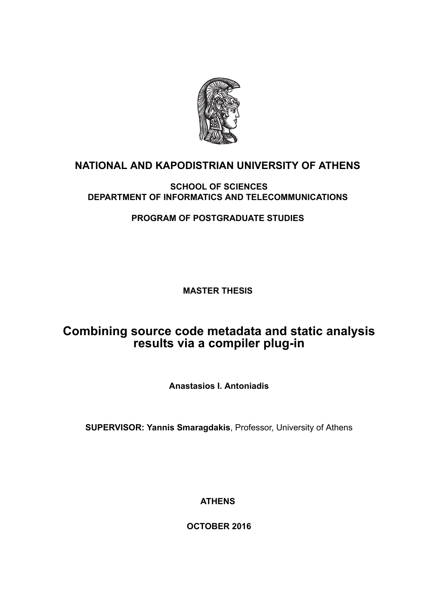

## **NATIONAL AND KAPODISTRIAN UNIVERSITY OF ATHENS**

#### **SCHOOL OF SCIENCES DEPARTMENT OF INFORMATICS AND TELECOMMUNICATIONS**

**PROGRAM OF POSTGRADUATE STUDIES**

**MASTER THESIS**

# **Combining source code metadata and static analysis results via a compiler plug-in**

**Anastasios I. Antoniadis**

**SUPERVISOR: Yannis Smaragdakis**, Professor, University of Athens

**ATHENS**

**OCTOBER 2016**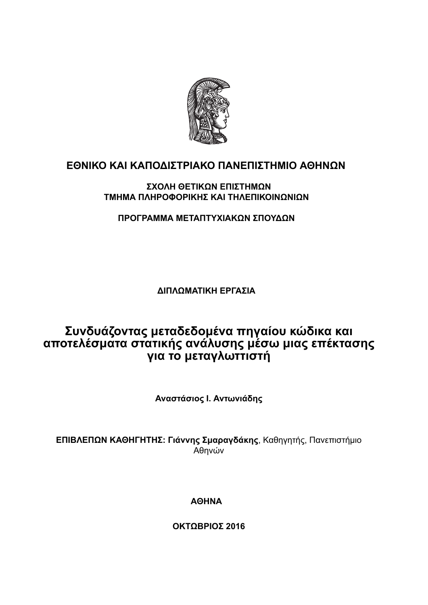

## **ΕΘΝΙΚΟ ΚΑΙ ΚΑΠΟΔΙΣΤΡΙΑΚΟ ΠΑΝΕΠΙΣΤΗΜΙΟ ΑΘΗΝΩΝ**

#### **ΣΧΟΛΗ ΘΕΤΙΚΩΝ ΕΠΙΣΤΗΜΩΝ ΤΜΗΜΑ ΠΛΗΡΟΦΟΡΙΚΗΣ ΚΑΙ ΤΗΛΕΠΙΚΟΙΝΩΝΙΩΝ**

**ΠΡΟΓΡΑΜΜΑ ΜΕΤΑΠΤΥΧΙΑΚΩΝ ΣΠΟΥΔΩΝ**

**ΔΙΠΛΩΜΑΤΙΚΗ ΕΡΓΑΣΙΑ**

# **Συνδυάζοντας μεταδεδομένα πηγαίου κώδικα και αποτελέσματα στατικής ανάλυσης μέσω μιας επέκτασης για το μεταγλωττιστή**

**Αναστάσιος Ι. Αντωνιάδης**

**ΕΠΙΒΛΕΠΩΝ ΚΑΘΗΓΗΤΗΣ: Γιάννης Σμαραγδάκης**, Καθηγητής, Πανεπιστήμιο Αθηνών

**ΑΘΗΝΑ**

**ΟΚΤΩΒΡΙΟΣ 2016**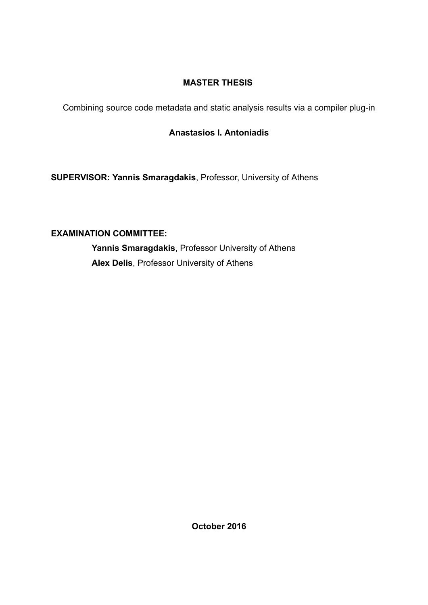### **MASTER THESIS**

Combining source code metadata and static analysis results via a compiler plug-in

### **Anastasios I. Antoniadis**

**SUPERVISOR: Yannis Smaragdakis**, Professor, University of Athens

### **EXAMINATION COMMITTEE:**

**Yannis Smaragdakis**, Professor University of Athens **Alex Delis**, Professor University of Athens

**October 2016**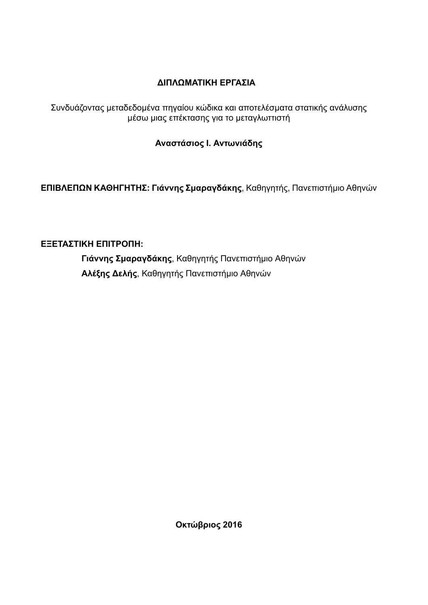### **ΔΙΠΛΩΜΑΤΙΚΗ ΕΡΓΑΣΙΑ**

Συνδυάζοντας μεταδεδομένα πηγαίου κώδικα και αποτελέσματα στατικής ανάλυσης μέσω μιας επέκτασης για το μεταγλωττιστή

### **Αναστάσιος Ι. Αντωνιάδης**

**ΕΠΙΒΛΕΠΩΝ ΚΑΘΗΓΗΤΗΣ: Γιάννης Σμαραγδάκης**, Καθηγητής, Πανεπιστήμιο Αθηνών

### **ΕΞΕΤΑΣΤΙΚΗ ΕΠΙΤΡΟΠΗ:**

**Γιάννης Σμαραγδάκης**, Καθηγητής Πανεπιστήμιο Αθηνών **Αλέξης Δελής**, Καθηγητής Πανεπιστήμιο Αθηνών

**Οκτώβριος 2016**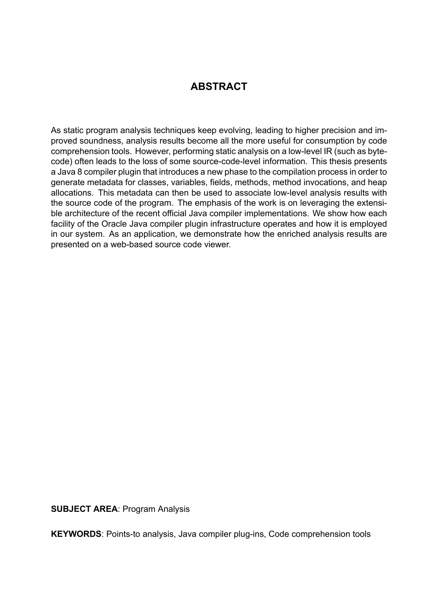### **ABSTRACT**

As static program analysis techniques keep evolving, leading to higher precision and improved soundness, analysis results become all the more useful for consumption by code comprehension tools. However, performing static analysis on a low-level IR (such as bytecode) often leads to the loss of some source-code-level information. This thesis presents a Java 8 compiler plugin that introduces a new phase to the compilation process in order to generate metadata for classes, variables, fields, methods, method invocations, and heap allocations. This metadata can then be used to associate low-level analysis results with the source code of the program. The emphasis of the work is on leveraging the extensible architecture of the recent official Java compiler implementations. We show how each facility of the Oracle Java compiler plugin infrastructure operates and how it is employed in our system. As an application, we demonstrate how the enriched analysis results are presented on a web-based source code viewer.

**SUBJECT AREA**: Program Analysis

**KEYWORDS**: Points-to analysis, Java compiler plug-ins, Code comprehension tools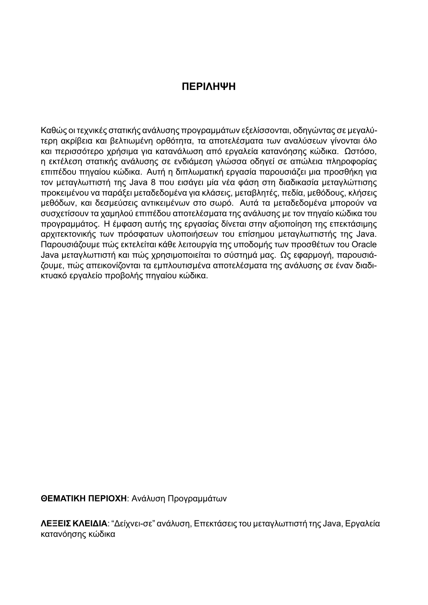### **ΠΕΡΙΛΗΨΗ**

Καθώς οι τεχνικές στατικής ανάλυσης προγραμμάτων εξελίσσονται, οδηγώντας σε μεγαλύτερη ακρίβεια και βελτιωμένη ορθότητα, τα αποτελέσματα των αναλύσεων γίνονται όλο και περισσότερο χρήσιμα για κατανάλωση από εργαλεία κατανόησης κώδικα. Ωστόσο, η εκτέλεση στατικής ανάλυσης σε ενδιάμεση γλώσσα οδηγεί σε απώλεια πληροφορίας επιπέδου πηγαίου κώδικα. Αυτή η διπλωματική εργασία παρουσιάζει μια προσθήκη για τον μεταγλωττιστή της Java 8 που εισάγει μία νέα φάση στη διαδικασία μεταγλώττισης προκειμένου να παράξει μεταδεδομένα για κλάσεις, μεταβλητές, πεδία, μεθόδους, κλήσεις μεθόδων, και δεσμεύσεις αντικειμένων στο σωρό. Αυτά τα μεταδεδομένα μπορούν να συσχετίσουν τα χαμηλού επιπέδου αποτελέσματα της ανάλυσης με τον πηγαίο κώδικα του προγραμμάτος. Η έμφαση αυτής της εργασίας δίνεται στην αξιοποίηση της επεκτάσιμης αρχιτεκτονικής των πρόσφατων υλοποιήσεων του επίσημου μεταγλωττιστής της Java. Παρουσιάζουμε πώς εκτελείται κάθε λειτουργία της υποδομής των προσθέτων του Oracle Java μεταγλωττιστή και πώς χρησιμοποιείται το σύστημά μας. Ως εφαρμογή, παρουσιάζουμε, πώς απεικονίζονται τα εμπλουτισμένα αποτελέσματα της ανάλυσης σε έναν διαδικτυακό εργαλείο προβολής πηγαίου κώδικα.

**ΘΕΜΑΤΙΚΗ ΠΕΡΙΟΧΗ**: Ανάλυση Προγραμμάτων

**ΛΕΞΕΙΣ ΚΛΕΙΔΙΑ**: "Δείχνει-σε" ανάλυση, Επεκτάσεις του μεταγλωττιστή της Java, Εργαλεία κατανόησης κώδικα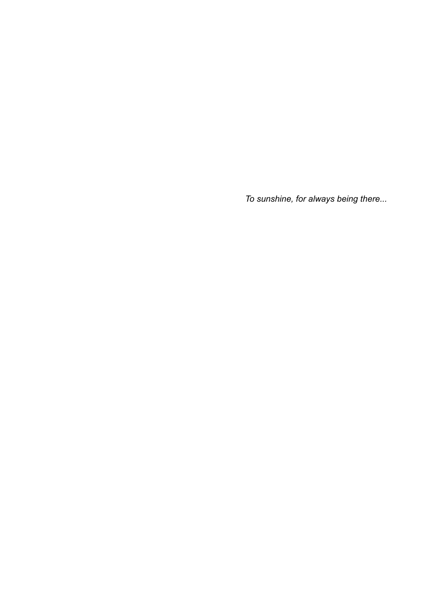*To sunshine, for always being there...*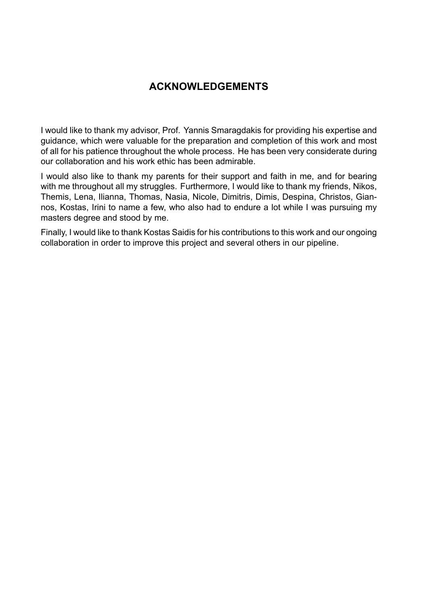### **ACKNOWLEDGEMENTS**

I would like to thank my advisor, Prof. Yannis Smaragdakis for providing his expertise and guidance, which were valuable for the preparation and completion of this work and most of all for his patience throughout the whole process. He has been very considerate during our collaboration and his work ethic has been admirable.

I would also like to thank my parents for their support and faith in me, and for bearing with me throughout all my struggles. Furthermore, I would like to thank my friends, Nikos, Themis, Lena, Ilianna, Thomas, Nasia, Nicole, Dimitris, Dimis, Despina, Christos, Giannos, Kostas, Irini to name a few, who also had to endure a lot while I was pursuing my masters degree and stood by me.

Finally, I would like to thank Kostas Saidis for his contributions to this work and our ongoing collaboration in order to improve this project and several others in our pipeline.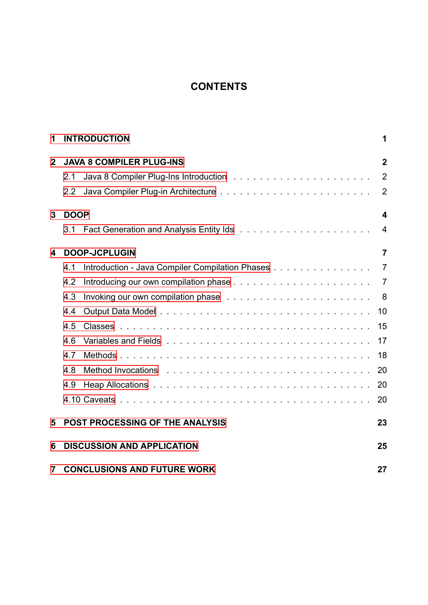# **CONTENTS**

| 1            | <b>INTRODUCTION</b>             |                                                 |                |  |  |
|--------------|---------------------------------|-------------------------------------------------|----------------|--|--|
| $\mathbf{2}$ | <b>JAVA 8 COMPILER PLUG-INS</b> |                                                 |                |  |  |
|              | 2.1                             |                                                 | $\overline{2}$ |  |  |
|              | 2.2                             |                                                 | $\overline{2}$ |  |  |
| 3            | <b>DOOP</b>                     |                                                 |                |  |  |
|              | 3.1                             |                                                 | $\overline{4}$ |  |  |
| 4            | <b>DOOP-JCPLUGIN</b>            |                                                 |                |  |  |
|              | 4.1                             | Introduction - Java Compiler Compilation Phases | $\overline{7}$ |  |  |
|              | 4.2                             |                                                 |                |  |  |
|              | 4.3                             |                                                 | - 8            |  |  |
|              | 4.4                             |                                                 | 10             |  |  |
|              | 4.5                             |                                                 | 15             |  |  |
|              | 4.6                             |                                                 | 17             |  |  |
|              | 4.7                             |                                                 | 18             |  |  |
|              | 4.8                             |                                                 | 20             |  |  |
|              | 4.9                             |                                                 | 20             |  |  |
|              |                                 |                                                 | 20             |  |  |
| 5            |                                 | <b>POST PROCESSING OF THE ANALYSIS</b>          | 23             |  |  |
| 6            |                                 | <b>DISCUSSION AND APPLICATION</b>               | 25             |  |  |
| 7            |                                 | <b>CONCLUSIONS AND FUTURE WORK</b>              | 27             |  |  |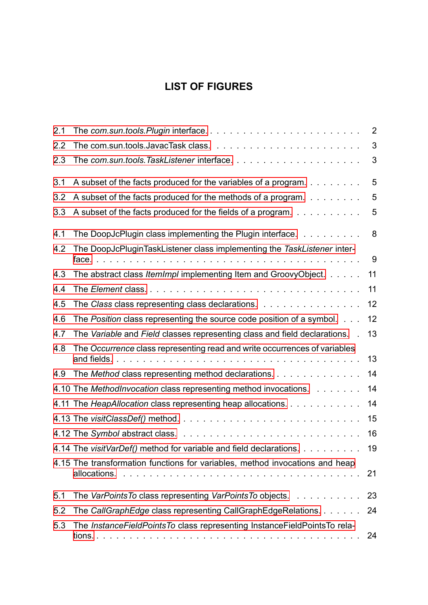# **LIST OF FIGURES**

| 2.1 |                                                                                                        | $\overline{2}$ |
|-----|--------------------------------------------------------------------------------------------------------|----------------|
| 2.2 |                                                                                                        | 3              |
| 2.3 |                                                                                                        | 3              |
| 3.1 | A subset of the facts produced for the variables of a program.                                         | 5              |
| 3.2 | A subset of the facts produced for the methods of a program.                                           | 5              |
| 3.3 | A subset of the facts produced for the fields of a program.                                            | 5              |
| 4.1 | The DoopJcPlugin class implementing the Plugin interface.                                              | 8              |
| 4.2 | The DoopJcPluginTaskListener class implementing the TaskListener inter-                                | 9              |
| 4.3 | The abstract class <i>ItemImpl</i> implementing Item and GroovyObject.                                 | 11             |
| 4.4 |                                                                                                        | 11             |
| 4.5 | The Class class representing class declarations.                                                       | 12             |
| 4.6 | The Position class representing the source code position of a symbol.                                  | 12             |
| 4.7 | The Variable and Field classes representing class and field declarations.                              | 13             |
| 4.8 | The Occurrence class representing read and write occurrences of variables<br>and fields. $\ldots$<br>. | 13             |
| 4.9 | The Method class representing method declarations.                                                     | 14             |
|     | 4.10 The MethodInvocation class representing method invocations.                                       | 14             |
|     | 4.11 The HeapAllocation class representing heap allocations.                                           | 14             |
|     |                                                                                                        | 15             |
|     |                                                                                                        | 16             |
|     | 4.14 The visitVarDef() method for variable and field declarations.                                     | 19             |
|     | 4.15 The transformation functions for variables, method invocations and heap                           | 21             |
| 5.1 | The VarPoints To class representing VarPoints To objects.                                              | 23             |
| 5.2 | The CallGraphEdge class representing CallGraphEdgeRelations.                                           | 24             |
| 5.3 | The Instance Field Points To class representing Instance Field Points To rela-                         | 24             |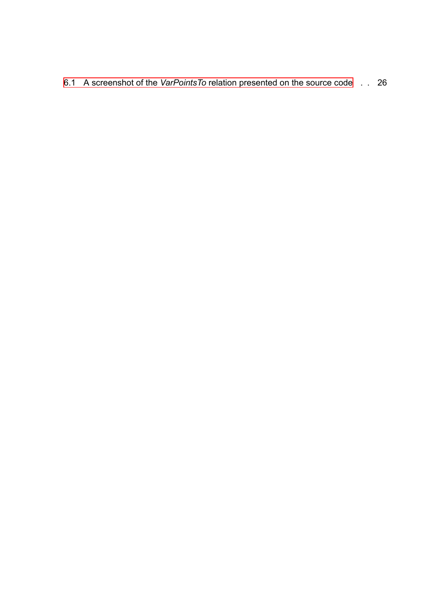6.1 A screenshot of the *VarPointsTo* relation presented on the source code . . 26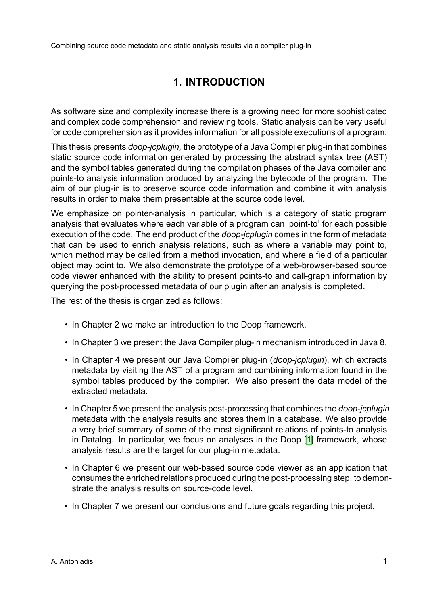# **1. INTRODUCTION**

<span id="page-11-0"></span>As software size and complexity increase there is a growing need for more sophisticated and complex code comprehension and reviewing tools. Static analysis can be very useful for code comprehension as it provides information for all possible executions of a program.

This thesis presents *doop-jcplugin,* the prototype of a Java Compiler plug-in that combines static source code information generated by processing the abstract syntax tree (AST) and the symbol tables generated during the compilation phases of the Java compiler and points-to analysis information produced by analyzing the bytecode of the program. The aim of our plug-in is to preserve source code information and combine it with analysis results in order to make them presentable at the source code level.

We emphasize on pointer-analysis in particular, which is a category of static program analysis that evaluates where each variable of a program can 'point-to' for each possible execution of the code. The end product of the *doop-jcplugin* comes in the form of metadata that can be used to enrich analysis relations, such as where a variable may point to, which method may be called from a method invocation, and where a field of a particular object may point to. We also demonstrate the prototype of a web-browser-based source code viewer enhanced with the ability to present points-to and call-graph information by querying the post-processed metadata of our plugin after an analysis is completed.

The rest of the thesis is organized as follows:

- In Chapter 2 we make an introduction to the Doop framework.
- In Chapter 3 we present the Java Compiler plug-in mechanism introduced in Java 8.
- In Chapter 4 we present our Java Compiler plug-in (*doop-jcplugin*), which extracts metadata by visiting the AST of a program and combining information found in the symbol tables produced by the compiler. We also present the data model of the extracted metadata.
- In Chapter 5 we present the analysis post-processing that combines the *doop-jcplugin* metadata with the analysis results and stores them in a database. We also provide a very brief summary of some of the most significant relations of points-to analysis in Datalog. In particular, we focus on analyses in the Doop [1] framework, whose analysis results are the target for our plug-in metadata.
- In Chapter 6 we present our web-based source code viewer as an application that consumes the enriched relations produced during the post-pro[ce](#page-38-0)ssing step, to demonstrate the analysis results on source-code level.
- In Chapter 7 we present our conclusions and future goals regarding this project.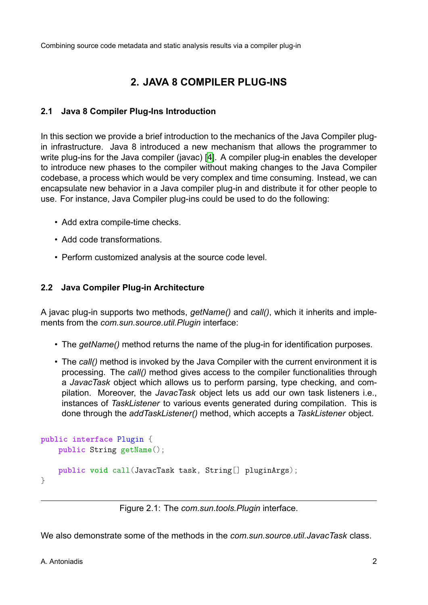# **2. JAVA 8 COMPILER PLUG-INS**

#### <span id="page-12-0"></span>**2.1 Java 8 Compiler Plug-Ins Introduction**

<span id="page-12-1"></span>In this section we provide a brief introduction to the mechanics of the Java Compiler plugin infrastructure. Java 8 introduced a new mechanism that allows the programmer to write plug-ins for the Java compiler (javac) [4]. A compiler plug-in enables the developer to introduce new phases to the compiler without making changes to the Java Compiler codebase, a process which would be very complex and time consuming. Instead, we can encapsulate new behavior in a Java compil[er](#page-38-1) plug-in and distribute it for other people to use. For instance, Java Compiler plug-ins could be used to do the following:

- Add extra compile-time checks.
- Add code transformations.
- Perform customized analysis at the source code level.

#### **2.2 Java Compiler Plug-in Architecture**

<span id="page-12-2"></span>A javac plug-in supports two methods, *getName()* and *call()*, which it inherits and implements from the *com.sun.source.util.Plugin* interface:

- The *getName()* method returns the name of the plug-in for identification purposes.
- The *call()* method is invoked by the Java Compiler with the current environment it is processing. The *call()* method gives access to the compiler functionalities through a *JavacTask* object which allows us to perform parsing, type checking, and compilation. Moreover, the *JavacTask* object lets us add our own task listeners i.e., instances of *TaskListener* to various events generated during compilation. This is done through the *addTaskListener()* method, which accepts a *TaskListener* object.

```
public interface Plugin {
    public String getName();
    public void call(JavacTask task, String[] pluginArgs);
}
```
Figure 2.1: The *com.sun.tools.Plugin* interface.

We also demonstrate some of the methods in the *com.sun.source.util.JavacTask* class.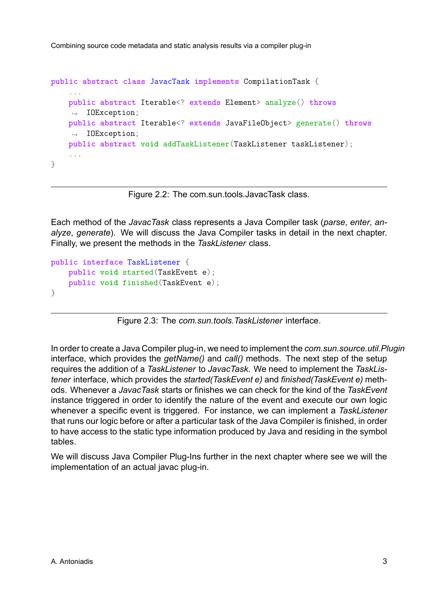```
public abstract class JavacTask implements CompilationTask {
    ...
    public abstract Iterable<? extends Element> analyze() throws
    ,→ IOException;
    public abstract Iterable<? extends JavaFileObject> generate() throws
    ,→ IOException;
    public abstract void addTaskListener(TaskListener taskListener);
    ...
}
```
Figure 2.2: The com.sun.tools.JavacTask class.

Each method of the *JavacTask* class represents a Java Compiler task (*parse*, *enter*, *analyze*, *generate*). We will discuss the Java Compiler tasks in detail in the next chapter. Finally, we present the methods in the *TaskListener* class.

```
public interface TaskListener {
    public void started(TaskEvent e);
    public void finished(TaskEvent e);
}
```
Figure 2.3: The *com.sun.tools.TaskListener* interface.

In order to create a Java Compiler plug-in, we need to implement the *com.sun.source.util.Plugin* interface, which provides the *getName()* and *call()* methods. The next step of the setup requires the addition of a *TaskListener* to *JavacTask*. We need to implement the *TaskListener* interface, which provides the *started(TaskEvent e)* and *finished(TaskEvent e)* methods. Whenever a *JavacTask* starts or finishes we can check for the kind of the *TaskEvent* instance triggered in order to identify the nature of the event and execute our own logic whenever a specific event is triggered. For instance, we can implement a *TaskListener* that runs our logic before or after a particular task of the Java Compiler is finished, in order to have access to the static type information produced by Java and residing in the symbol tables.

We will discuss Java Compiler Plug-Ins further in the next chapter where see we will the implementation of an actual javac plug-in.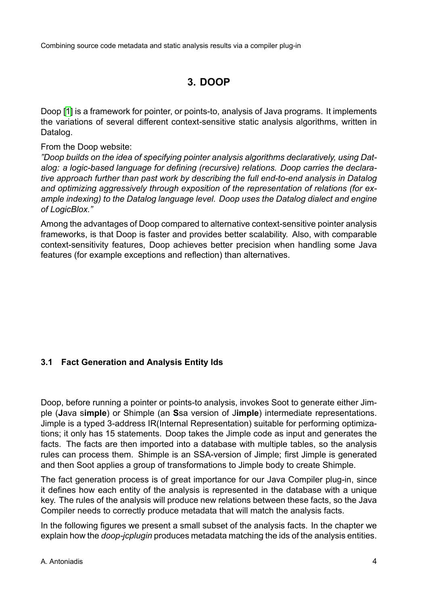## **3. DOOP**

<span id="page-14-0"></span>Doop [1] is a framework for pointer, or points-to, analysis of Java programs. It implements the variations of several different context-sensitive static analysis algorithms, written in Datalog.

From [the](#page-38-0) Doop website:

*"Doop builds on the idea of specifying pointer analysis algorithms declaratively, using Datalog: a logic-based language for defining (recursive) relations. Doop carries the declarative approach further than past work by describing the full end-to-end analysis in Datalog and optimizing aggressively through exposition of the representation of relations (for example indexing) to the Datalog language level. Doop uses the Datalog dialect and engine of LogicBlox."*

Among the advantages of Doop compared to alternative context-sensitive pointer analysis frameworks, is that Doop is faster and provides better scalability. Also, with comparable context-sensitivity features, Doop achieves better precision when handling some Java features (for example exceptions and reflection) than alternatives.

### **3.1 Fact Generation and Analysis Entity Ids**

<span id="page-14-1"></span>Doop, before running a pointer or points-to analysis, invokes Soot to generate either Jimple (**J**ava s**imple**) or Shimple (an **S**sa version of J**imple**) intermediate representations. Jimple is a typed 3-address IR(Internal Representation) suitable for performing optimizations; it only has 15 statements. Doop takes the Jimple code as input and generates the facts. The facts are then imported into a database with multiple tables, so the analysis rules can process them. Shimple is an SSA-version of Jimple; first Jimple is generated and then Soot applies a group of transformations to Jimple body to create Shimple.

The fact generation process is of great importance for our Java Compiler plug-in, since it defines how each entity of the analysis is represented in the database with a unique key. The rules of the analysis will produce new relations between these facts, so the Java Compiler needs to correctly produce metadata that will match the analysis facts.

In the following figures we present a small subset of the analysis facts. In the chapter we explain how the *doop-jcplugin* produces metadata matching the ids of the analysis entities.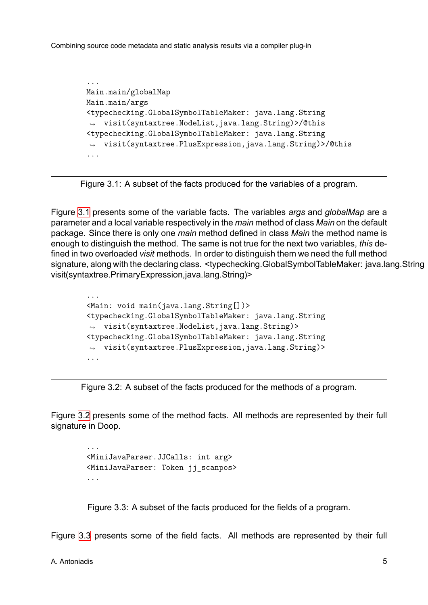```
...
Main.main/globalMap
Main.main/args
<typechecking.GlobalSymbolTableMaker: java.lang.String
,→ visit(syntaxtree.NodeList,java.lang.String)>/@this
<typechecking.GlobalSymbolTableMaker: java.lang.String
,→ visit(syntaxtree.PlusExpression,java.lang.String)>/@this
...
```


Figure 3.1 presents some of the variable facts. The variables *args* and *globalMap* are a parameter and a local variable respectively in the *main* method of class *Main* on the default package. Since there is only one *main* method defined in class *Main* the method name is enoug[h to](#page-15-0) distinguish the method. The same is not true for the next two variables, *this* defined in two overloaded *visit* methods. In order to distinguish them we need the full method signature, along with the declaring class. <typechecking.GlobalSymbolTableMaker: java.lang.String visit(syntaxtree.PrimaryExpression,java.lang.String)>

```
...
<Main: void main(java.lang.String[])>
<typechecking.GlobalSymbolTableMaker: java.lang.String
,→ visit(syntaxtree.NodeList,java.lang.String)>
<typechecking.GlobalSymbolTableMaker: java.lang.String
,→ visit(syntaxtree.PlusExpression,java.lang.String)>
...
```
Figure 3.2: A subset of the facts produced for the methods of a program.

Figure 3.2 presents some of the method facts. All methods are represented by their full signature in Doop.

```
...
<MiniJavaParser.JJCalls: int arg>
<MiniJavaParser: Token jj_scanpos>
...
```
Figure 3.3: A subset of the facts produced for the fields of a program.

Figure 3.3 presents some of the field facts. All methods are represented by their full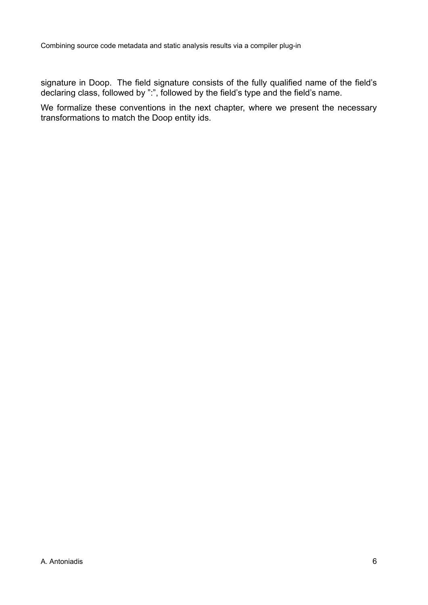signature in Doop. The field signature consists of the fully qualified name of the field's declaring class, followed by ":", followed by the field's type and the field's name.

We formalize these conventions in the next chapter, where we present the necessary transformations to match the Doop entity ids.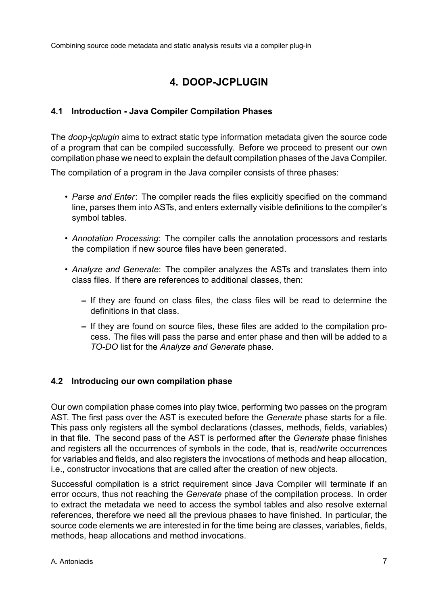# **4. DOOP-JCPLUGIN**

#### <span id="page-17-1"></span><span id="page-17-0"></span>**4.1 Introduction - Java Compiler Compilation Phases**

The *doop-jcplugin* aims to extract static type information metadata given the source code of a program that can be compiled successfully. Before we proceed to present our own compilation phase we need to explain the default compilation phases of the Java Compiler.

The compilation of a program in the Java compiler consists of three phases:

- *Parse and Enter*: The compiler reads the files explicitly specified on the command line, parses them into ASTs, and enters externally visible definitions to the compiler's symbol tables.
- *Annotation Processing*: The compiler calls the annotation processors and restarts the compilation if new source files have been generated.
- *Analyze and Generate*: The compiler analyzes the ASTs and translates them into class files. If there are references to additional classes, then:
	- **–** If they are found on class files, the class files will be read to determine the definitions in that class.
	- **–** If they are found on source files, these files are added to the compilation process. The files will pass the parse and enter phase and then will be added to a *TO-DO* list for the *Analyze and Generate* phase.

#### <span id="page-17-2"></span>**4.2 Introducing our own compilation phase**

Our own compilation phase comes into play twice, performing two passes on the program AST. The first pass over the AST is executed before the *Generate* phase starts for a file. This pass only registers all the symbol declarations (classes, methods, fields, variables) in that file. The second pass of the AST is performed after the *Generate* phase finishes and registers all the occurrences of symbols in the code, that is, read/write occurrences for variables and fields, and also registers the invocations of methods and heap allocation, i.e., constructor invocations that are called after the creation of new objects.

Successful compilation is a strict requirement since Java Compiler will terminate if an error occurs, thus not reaching the *Generate* phase of the compilation process. In order to extract the metadata we need to access the symbol tables and also resolve external references, therefore we need all the previous phases to have finished. In particular, the source code elements we are interested in for the time being are classes, variables, fields, methods, heap allocations and method invocations.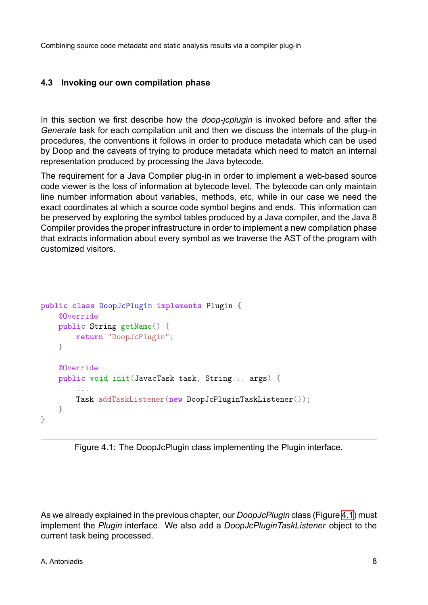#### **4.3 Invoking our own compilation phase**

<span id="page-18-0"></span>In this section we first describe how the *doop-jcplugin* is invoked before and after the *Generate* task for each compilation unit and then we discuss the internals of the plug-in procedures, the conventions it follows in order to produce metadata which can be used by Doop and the caveats of trying to produce metadata which need to match an internal representation produced by processing the Java bytecode.

The requirement for a Java Compiler plug-in in order to implement a web-based source code viewer is the loss of information at bytecode level. The bytecode can only maintain line number information about variables, methods, etc, while in our case we need the exact coordinates at which a source code symbol begins and ends. This information can be preserved by exploring the symbol tables produced by a Java compiler, and the Java 8 Compiler provides the proper infrastructure in order to implement a new compilation phase that extracts information about every symbol as we traverse the AST of the program with customized visitors.

```
public class DoopJcPlugin implements Plugin {
    @Override
   public String getName() {
       return "DoopJcPlugin";
    }
    @Override
   public void init(JavacTask task, String... args) {
        ...
        Task.addTaskListener(new DoopJcPluginTaskListener());
   }
}
```


As we already explained in the previous chapter, our *DoopJcPlugin* class (Figure 4.1) must implement the *Plugin* interface. We also add a *DoopJcPluginTaskListener* object to the current task being processed.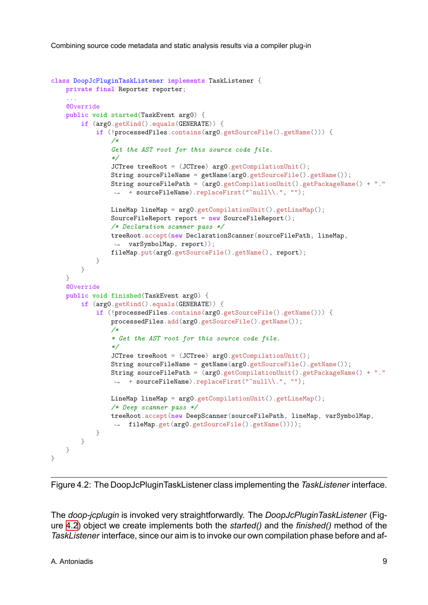```
class DoopJcPluginTaskListener implements TaskListener {
    private final Reporter reporter;
    ...
    @Override
    public void started(TaskEvent arg0) {
        if (arg0.getKind().equals(GENERATE)) {
            if (!processedFiles.contains(arg0.getSourceFile().getName())) {
                /*
                Get the AST root for this source code file.
                */
                JCTree treeRoot = (JCTree) arg0.getCompilationUnit();
                String sourceFileName = getName(arg0.getSourceFile().getName());
                String sourceFilePath = (arg0.getCompilationUnit().getPackageName() + "."
                 ,→ + sourceFileName).replaceFirst("^null\\.", "");
                LineMap lineMap = arg0.getCompilationUnit().getLineMap();
                SourceFileReport report = new SourceFileReport();
                /* Declaration scanner pass */
                treeRoot.accept(new DeclarationScanner(sourceFilePath, lineMap,
                 ,→ varSymbolMap, report));
                fileMap.put(arg0.getSourceFile().getName(), report);
            }
        }
    }
    @Override
    public void finished(TaskEvent arg0) {
        if (arg0.getKind().equals(GENERATE)) {
            if (!processedFiles.contains(arg0.getSourceFile().getName())) {
                processedFiles.add(arg0.getSourceFile().getName());
                /*
                * Get the AST root for this source code file.
                */
                JCTree treeRoot = (JCTree) arg0.getCompilationUnit();
                String sourceFileName = getName(arg0.getSourceFile().getName());
                String sourceFilePath = (\text{arg0.getCompilationUnit}() . \text{getPackageName}() + ".,→ + sourceFileName).replaceFirst("^null\\.", "");
                LineMap lineMap = arg0.getCompilationUnit().getLineMap();
                /* Deep scanner pass */
                treeRoot.accept(new DeepScanner(sourceFilePath, lineMap, varSymbolMap,
                 ,→ fileMap.get(arg0.getSourceFile().getName())));
            }
        }
    }
}
```


The *doop-jcplugin* is invoked very straightforwardly. The *DoopJcPluginTaskListener* (Figure 4.2) object we create implements both the *started()* and the *finished()* method of the *TaskListener* interface, since our aim is to invoke our own compilation phase before and af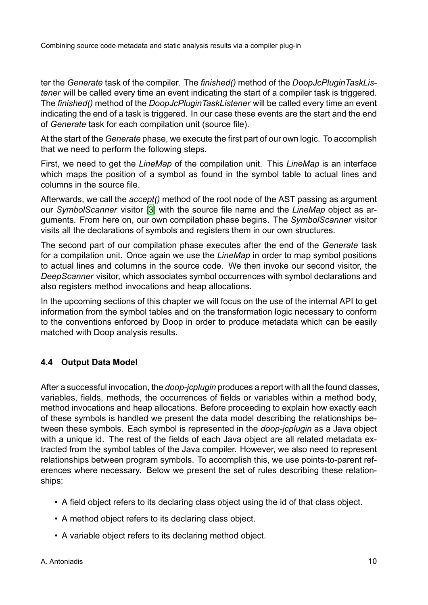ter the *Generate* task of the compiler. The *finished()* method of the *DoopJcPluginTaskListener* will be called every time an event indicating the start of a compiler task is triggered. The *finished()* method of the *DoopJcPluginTaskListener* will be called every time an event indicating the end of a task is triggered. In our case these events are the start and the end of *Generate* task for each compilation unit (source file).

At the start of the *Generate* phase, we execute the first part of our own logic. To accomplish that we need to perform the following steps.

First, we need to get the *LineMap* of the compilation unit. This *LineMap* is an interface which maps the position of a symbol as found in the symbol table to actual lines and columns in the source file.

Afterwards, we call the *accept()* method of the root node of the AST passing as argument our *SymbolScanner* visitor [3] with the source file name and the *LineMap* object as arguments. From here on, our own compilation phase begins. The *SymbolScanner* visitor visits all the declarations of symbols and registers them in our own structures.

The second part of our co[mp](#page-38-2)ilation phase executes after the end of the *Generate* task for a compilation unit. Once again we use the *LineMap* in order to map symbol positions to actual lines and columns in the source code. We then invoke our second visitor, the *DeepScanner* visitor, which associates symbol occurrences with symbol declarations and also registers method invocations and heap allocations.

In the upcoming sections of this chapter we will focus on the use of the internal API to get information from the symbol tables and on the transformation logic necessary to conform to the conventions enforced by Doop in order to produce metadata which can be easily matched with Doop analysis results.

### **4.4 Output Data Model**

<span id="page-20-0"></span>After a successful invocation, the *doop-jcplugin* produces a report with all the found classes, variables, fields, methods, the occurrences of fields or variables within a method body, method invocations and heap allocations. Before proceeding to explain how exactly each of these symbols is handled we present the data model describing the relationships between these symbols. Each symbol is represented in the *doop-jcplugin* as a Java object with a unique id. The rest of the fields of each Java object are all related metadata extracted from the symbol tables of the Java compiler. However, we also need to represent relationships between program symbols. To accomplish this, we use points-to-parent references where necessary. Below we present the set of rules describing these relationships:

- A field object refers to its declaring class object using the id of that class object.
- A method object refers to its declaring class object.
- A variable object refers to its declaring method object.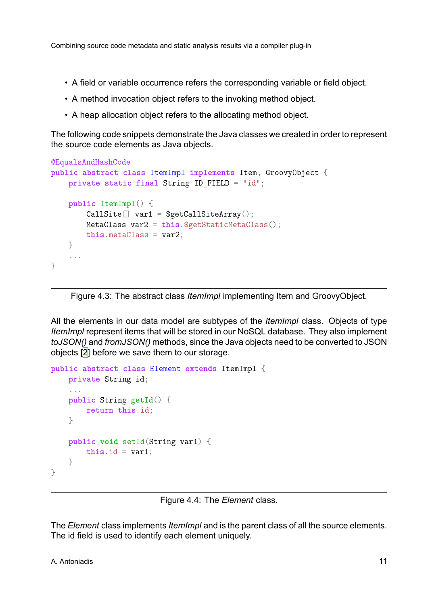- A field or variable occurrence refers the corresponding variable or field object.
- A method invocation object refers to the invoking method object.
- A heap allocation object refers to the allocating method object.

The following code snippets demonstrate the Java classes we created in order to represent the source code elements as Java objects.

```
@EqualsAndHashCode
public abstract class ItemImpl implements Item, GroovyObject {
   private static final String ID_FIELD = "id";
   public ItemImpl() {
        CallSite[] var1 = $getCallSiteArray();
       MetaClass var2 = this.$getStaticMetaClass();
       this.metaClass = var2;
   }
    ...
}
```
Figure 4.3: The abstract class *ItemImpl* implementing Item and GroovyObject.

All the elements in our data model are subtypes of the *ItemImpl* class. Objects of type *ItemImpl* represent items that will be stored in our NoSQL database. They also implement *toJSON()* and *fromJSON()* methods, since the Java objects need to be converted to JSON objects [2] before we save them to our storage.

```
public abstract class Element extends ItemImpl {
    private String id;
    ...
    public String getId() {
        return this.id;
    }
    public void setId(String var1) {
        this.id = var1;
    }
}
```
Figure 4.4: The *Element* class.

The *Element* class implements *ItemImpl* and is the parent class of all the source elements. The id field is used to identify each element uniquely.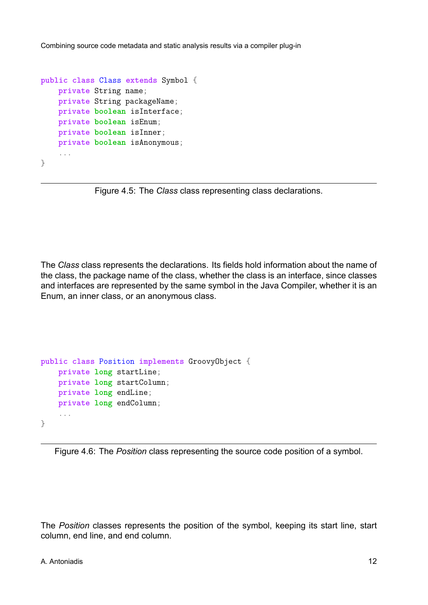```
public class Class extends Symbol {
    private String name;
    private String packageName;
   private boolean isInterface;
    private boolean isEnum;
   private boolean isInner;
   private boolean isAnonymous;
    ...
}
```
Figure 4.5: The *Class* class representing class declarations.

The *Class* class represents the declarations. Its fields hold information about the name of the class, the package name of the class, whether the class is an interface, since classes and interfaces are represented by the same symbol in the Java Compiler, whether it is an Enum, an inner class, or an anonymous class.

```
public class Position implements GroovyObject {
    private long startLine;
   private long startColumn;
   private long endLine;
   private long endColumn;
    ...
}
```


The *Position* classes represents the position of the symbol, keeping its start line, start column, end line, and end column.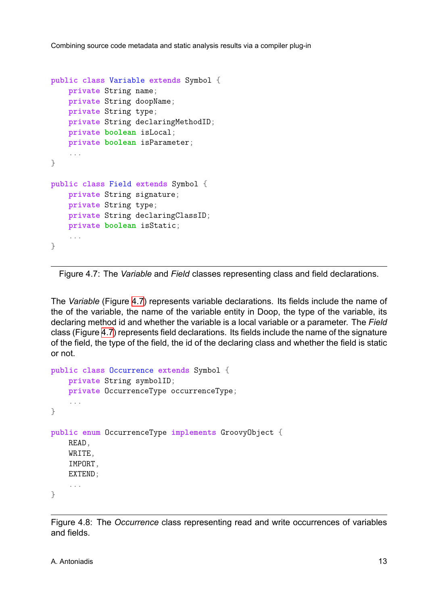```
public class Variable extends Symbol {
    private String name;
    private String doopName;
    private String type;
   private String declaringMethodID;
    private boolean isLocal;
    private boolean isParameter;
    ...
}
public class Field extends Symbol {
   private String signature;
   private String type;
    private String declaringClassID;
    private boolean isStatic;
    ...
}
```
Figure 4.7: The *Variable* and *Field* classes representing class and field declarations.

The *Variable* (Figure 4.7) represents variable declarations. Its fields include the name of the of the variable, the name of the variable entity in Doop, the type of the variable, its declaring method id and whether the variable is a local variable or a parameter. The *Field* class (Figure 4.7) rep[rese](#page-23-0)nts field declarations. Its fields include the name of the signature of the field, the type of the field, the id of the declaring class and whether the field is static or not.

```
public class Occurrence extends Symbol {
    private String symbolID;
    private OccurrenceType occurrenceType;
    ...
}
public enum OccurrenceType implements GroovyObject {
    READ,
    WRITE,
    IMPORT,
    EXTEND;
    ...
}
```
Figure 4.8: The *Occurrence* class representing read and write occurrences of variables and fields.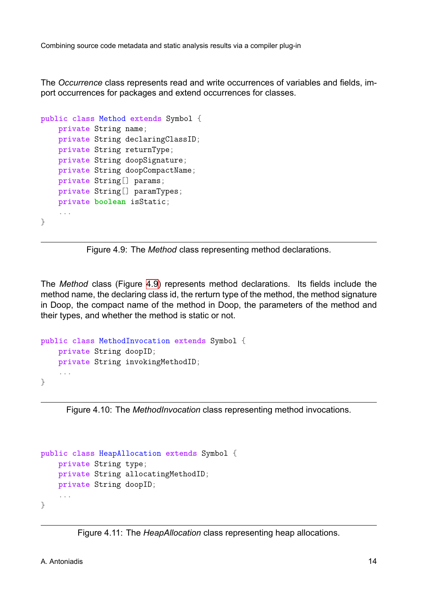The *Occurrence* class represents read and write occurrences of variables and fields, import occurrences for packages and extend occurrences for classes.

```
public class Method extends Symbol {
   private String name;
   private String declaringClassID;
   private String returnType;
   private String doopSignature;
   private String doopCompactName;
   private String[] params;
   private String[] paramTypes;
   private boolean isStatic;
    ...
}
```
Figure 4.9: The *Method* class representing method declarations.

The *Method* class (Figure 4.9) represents method declarations. Its fields include the method name, the declaring class id, the rerturn type of the method, the method signature in Doop, the compact name of the method in Doop, the parameters of the method and their types, and whether th[e me](#page-24-0)thod is static or not.

```
public class MethodInvocation extends Symbol {
    private String doopID;
    private String invokingMethodID;
    ...
}
```
Figure 4.10: The *MethodInvocation* class representing method invocations.

```
public class HeapAllocation extends Symbol {
    private String type;
    private String allocatingMethodID;
    private String doopID;
    ...
}
```
Figure 4.11: The *HeapAllocation* class representing heap allocations.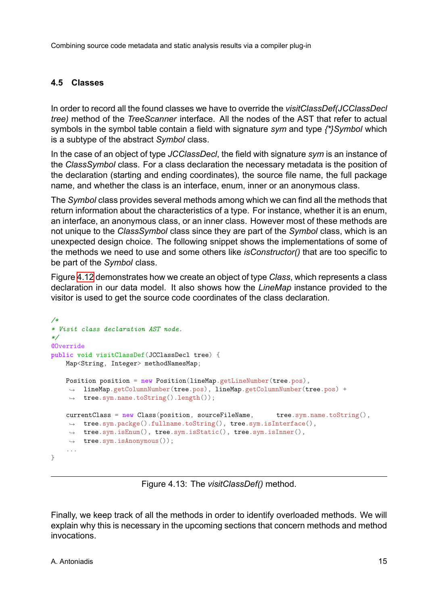### **4.5 Classes**

<span id="page-25-0"></span>In order to record all the found classes we have to override the *visitClassDef(JCClassDecl tree)* method of the *TreeScanner* interface. All the nodes of the AST that refer to actual symbols in the symbol table contain a field with signature *sym* and type *{\*}Symbol* which is a subtype of the abstract *Symbol* class.

In the case of an object of type *JCClassDecl*, the field with signature *sym* is an instance of the *ClassSymbol* class. For a class declaration the necessary metadata is the position of the declaration (starting and ending coordinates), the source file name, the full package name, and whether the class is an interface, enum, inner or an anonymous class.

The *Symbol* class provides several methods among which we can find all the methods that return information about the characteristics of a type. For instance, whether it is an enum, an interface, an anonymous class, or an inner class. However most of these methods are not unique to the *ClassSymbol* class since they are part of the *Symbol* class, which is an unexpected design choice. The following snippet shows the implementations of some of the methods we need to use and some others like *isConstructor()* that are too specific to be part of the *Symbol* class.

Figure 4.12 demonstrates how we create an object of type *Class*, which represents a class declaration in our data model. It also shows how the *LineMap* instance provided to the visitor is used to get the source code coordinates of the class declaration.

```
/*
* Visit class declaration AST node.
*/
@Override
public void visitClassDef(JCClassDecl tree) {
   Map<String, Integer> methodNamesMap;
   Position position = new Position(lineMap.getLineNumber(tree.pos),
     lineMap.getColumnNumber(tree.pos), lineMap.getColumnNumber(tree.pos) +
,→
     tree.sym.name.toString().length());
,→
    currentClass = new Class(position, sourceFileName, tree.sym.name.toString(),
     tree.sym.packge().fullname.toString(), tree.sym.isInterface(),
,→
     tree.sym.isEnum(), tree.sym.isStatic(), tree.sym.isInner(),
,→
     tree.sym.isAnonymous());
,→
    ...
}
```
Figure 4.13: The *visitClassDef()* method.

Finally, we keep track of all the methods in order to identify overloaded methods. We will explain why this is necessary in the upcoming sections that concern methods and method invocations.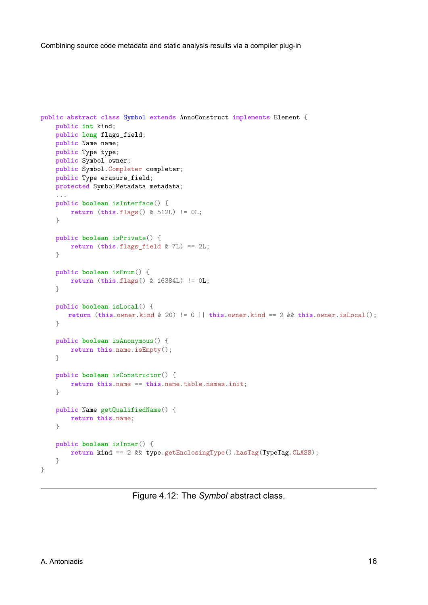```
public abstract class Symbol extends AnnoConstruct implements Element {
    public int kind;
    public long flags_field;
    public Name name;
    public Type type;
    public Symbol owner;
    public Symbol.Completer completer;
    public Type erasure_field;
    protected SymbolMetadata metadata;
    ...
    public boolean isInterface() {
        return (this.flags() & 512L) != 0L;
    }
    public boolean isPrivate() {
        return (this.flags_field & 7L) == 2L;
    \mathfrak{g}public boolean isEnum() {
       return (this.flags() & 16384L) != 0L;
    }
    public boolean isLocal() {
       return (this.owner.kind & 20) != 0 || this.owner.kind == 2 && this.owner.isLocal();
    }
    public boolean isAnonymous() {
        return this.name.isEmpty();
    }
    public boolean isConstructor() {
        return this.name == this.name.table.names.init;
    }
    public Name getQualifiedName() {
        return this.name;
    \lambdapublic boolean isInner() {
        return kind == 2 && type.getEnclosingType().hasTag(TypeTag.CLASS);
    }
}
```
Figure 4.12: The *Symbol* abstract class.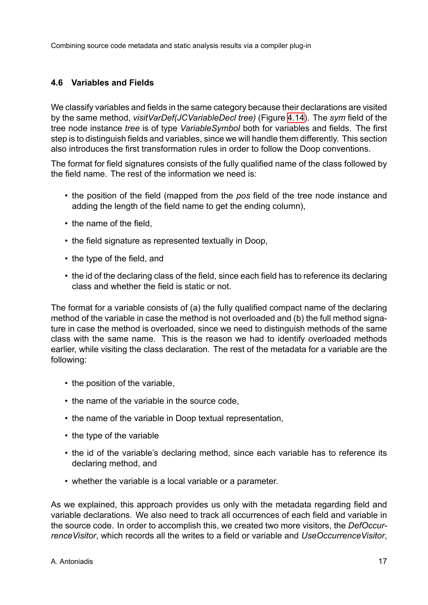### **4.6 Variables and Fields**

<span id="page-27-0"></span>We classify variables and fields in the same category because their declarations are visited by the same method, *visitVarDef(JCVariableDecl tree)* (Figure 4.14). The *sym* field of the tree node instance *tree* is of type *VariableSymbol* both for variables and fields. The first step is to distinguish fields and variables, since we will handle them differently. This section also introduces the first transformation rules in order to follow [the D](#page-29-0)oop conventions.

The format for field signatures consists of the fully qualified name of the class followed by the field name. The rest of the information we need is:

- the position of the field (mapped from the *pos* field of the tree node instance and adding the length of the field name to get the ending column),
- the name of the field,
- the field signature as represented textually in Doop,
- the type of the field, and
- the id of the declaring class of the field, since each field has to reference its declaring class and whether the field is static or not.

The format for a variable consists of (a) the fully qualified compact name of the declaring method of the variable in case the method is not overloaded and (b) the full method signature in case the method is overloaded, since we need to distinguish methods of the same class with the same name. This is the reason we had to identify overloaded methods earlier, while visiting the class declaration. The rest of the metadata for a variable are the following:

- the position of the variable,
- the name of the variable in the source code,
- the name of the variable in Doop textual representation,
- the type of the variable
- the id of the variable's declaring method, since each variable has to reference its declaring method, and
- whether the variable is a local variable or a parameter.

As we explained, this approach provides us only with the metadata regarding field and variable declarations. We also need to track all occurrences of each field and variable in the source code. In order to accomplish this, we created two more visitors, the *DefOccurrenceVisitor*, which records all the writes to a field or variable and *UseOccurrenceVisitor*,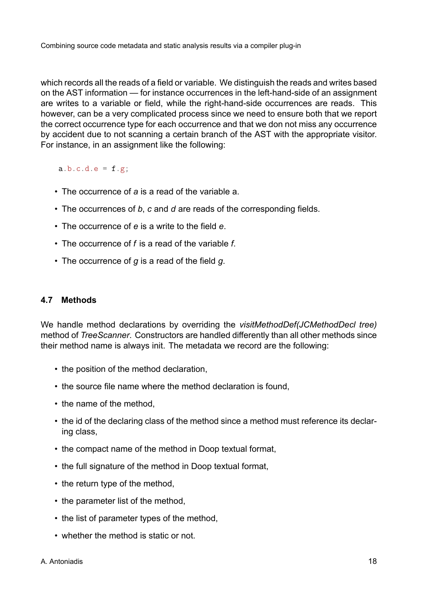which records all the reads of a field or variable. We distinguish the reads and writes based on the AST information — for instance occurrences in the left-hand-side of an assignment are writes to a variable or field, while the right-hand-side occurrences are reads. This however, can be a very complicated process since we need to ensure both that we report the correct occurrence type for each occurrence and that we don not miss any occurrence by accident due to not scanning a certain branch of the AST with the appropriate visitor. For instance, in an assignment like the following:

 $a.b.c.d.e = f.g;$ 

- The occurrence of *a* is a read of the variable a.
- The occurrences of *b*, *c* and *d* are reads of the corresponding fields.
- The occurrence of *e* is a write to the field *e*.
- The occurrence of *f* is a read of the variable *f*.
- The occurrence of *g* is a read of the field *g*.

#### <span id="page-28-0"></span>**4.7 Methods**

We handle method declarations by overriding the *visitMethodDef(JCMethodDecl tree)* method of *TreeScanner*. Constructors are handled differently than all other methods since their method name is always init. The metadata we record are the following:

- the position of the method declaration,
- the source file name where the method declaration is found,
- the name of the method,
- the id of the declaring class of the method since a method must reference its declaring class,
- the compact name of the method in Doop textual format,
- the full signature of the method in Doop textual format,
- the return type of the method.
- the parameter list of the method,
- the list of parameter types of the method,
- whether the method is static or not.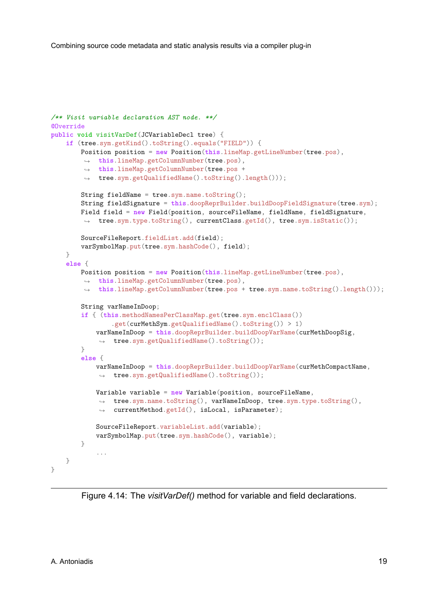```
/** Visit variable declaration AST node. **/
@Override
public void visitVarDef(JCVariableDecl tree) {
    if (tree.sym.getKind().toString().equals("FIELD")) {
       Position position = new Position(this.lineMap.getLineNumber(tree.pos),
         this.lineMap.getColumnNumber(tree.pos),
,→
         this.lineMap.getColumnNumber(tree.pos +
,→
         tree.sym.getQualifiedName().toString().length()));
,→
        String fieldName = tree.sym.name.toString();
        String fieldSignature = this.doopReprBuilder.buildDoopFieldSignature(tree.sym);
        Field field = new Field(position, sourceFileName, fieldName, fieldSignature,
        ,→ tree.sym.type.toString(), currentClass.getId(), tree.sym.isStatic());
        SourceFileReport.fieldList.add(field);
        varSymbolMap.put(tree.sym.hashCode(), field);
    }
    else {
        Position position = new Position(this.lineMap.getLineNumber(tree.pos),
         this.lineMap.getColumnNumber(tree.pos),
,→
         this.lineMap.getColumnNumber(tree.pos + tree.sym.name.toString().length()));
,→
        String varNameInDoop;
        if { (this.methodNamesPerClassMap.get(tree.sym.enclClass())
                .get(curMethSym.getQualifiedName().toString()) > 1)
            varNameInDoop = this.doopReprBuilder.buildDoopVarName(curMethDoopSig,
            ,→ tree.sym.getQualifiedName().toString());
        }
        else {
            varNameInDoop = this.doopReprBuilder.buildDoopVarName(curMethCompactName,
            ,→ tree.sym.getQualifiedName().toString());
            Variable variable = new Variable(position, sourceFileName,
             tree.sym.name.toString(), varNameInDoop, tree.sym.type.toString(),
,→
             currentMethod.getId(), isLocal, isParameter);
,→
            SourceFileReport.variableList.add(variable);
            varSymbolMap.put(tree.sym.hashCode(), variable);
        }
            ...
    }
}
```
Figure 4.14: The *visitVarDef()* method for variable and field declarations.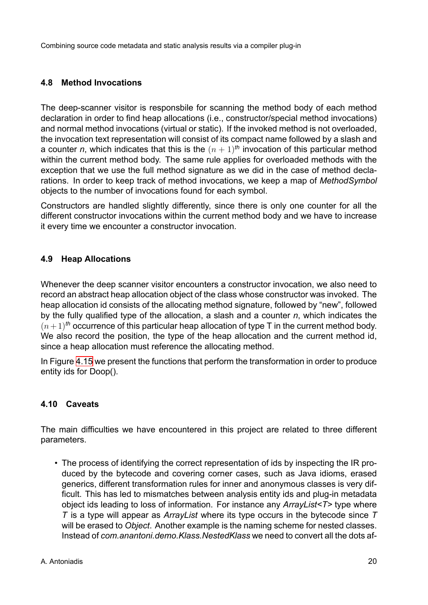#### **4.8 Method Invocations**

<span id="page-30-0"></span>The deep-scanner visitor is responsbile for scanning the method body of each method declaration in order to find heap allocations (i.e., constructor/special method invocations) and normal method invocations (virtual or static). If the invoked method is not overloaded, the invocation text representation will consist of its compact name followed by a slash and a counter *n*, which indicates that this is the  $(n + 1)$ <sup>th</sup> invocation of this particular method within the current method body. The same rule applies for overloaded methods with the exception that we use the full method signature as we did in the case of method declarations. In order to keep track of method invocations, we keep a map of *MethodSymbol* objects to the number of invocations found for each symbol.

Constructors are handled slightly differently, since there is only one counter for all the different constructor invocations within the current method body and we have to increase it every time we encounter a constructor invocation.

### **4.9 Heap Allocations**

<span id="page-30-1"></span>Whenever the deep scanner visitor encounters a constructor invocation, we also need to record an abstract heap allocation object of the class whose constructor was invoked. The heap allocation id consists of the allocating method signature, followed by "new", followed by the fully qualified type of the allocation, a slash and a counter *n*, which indicates the  $(n+1)$ <sup>th</sup> occurrence of this particular heap allocation of type T in the current method body. We also record the position, the type of the heap allocation and the current method id, since a heap allocation must reference the allocating method.

In Figure 4.15 we present the functions that perform the transformation in order to produce entity ids for Doop().

#### **4.10 C[aveat](#page-31-0)s**

The main difficulties we have encountered in this project are related to three different parameters.

• The process of identifying the correct representation of ids by inspecting the IR produced by the bytecode and covering corner cases, such as Java idioms, erased generics, different transformation rules for inner and anonymous classes is very difficult. This has led to mismatches between analysis entity ids and plug-in metadata object ids leading to loss of information. For instance any *ArrayList<T>* type where *T* is a type will appear as *ArrayList* where its type occurs in the bytecode since *T* will be erased to *Object*. Another example is the naming scheme for nested classes. Instead of *com.anantoni.demo.Klass.NestedKlass* we need to convert all the dots af-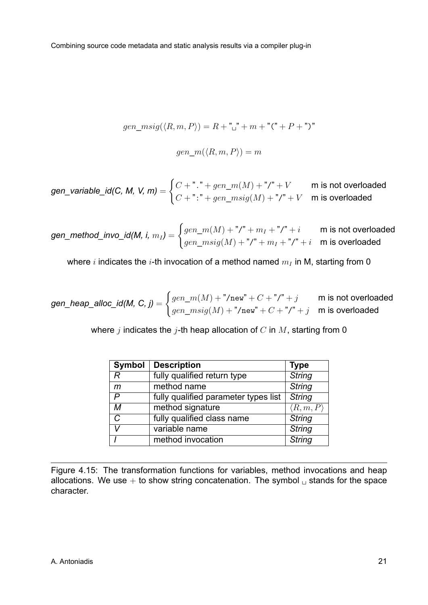$$
gen\_msig(\langle R, m, P \rangle) = R + "^" + m + "(" + P + ")"
$$

$$
gen\_m(\langle R, m, P \rangle) = m
$$

<span id="page-31-0"></span>
$$
\textit{gen\_variable\_id(C, M, V, m)} = \begin{cases} C + ".^" + gen\_m(M) + "/^" + V & \text{m is not overloaded} \\ C + ".^" + gen\_msig(M) + "/^" + V & \text{m is overloaded} \end{cases}
$$

*gen\_method\_invo\_id(M, i, m<sup>I</sup> )* =  $\int gen\_m(M) + "I" + m_I + "I" + i$  m is not overloaded  $gen\_msig(M) + "$ /" +  $m_I + "$ /" +  $i$   $\;\;$   $\sf m$  is overloaded

where *i* indicates the *i*-th invocation of a method named *m<sup>I</sup>* in M, starting from 0

*gen\_heap\_alloc\_id(M, C, j)* =  $\int gen\_m(M) + "/new" + C + "/" + j$  m is not overloaded  $gen\_msig(M) + "/\texttt{new}" + C + "/\texttt{"} + j \quad \textsf{m} \text{ is overloaded}$ 

where *j* indicates the *j*-th heap allocation of *C* in *M*, starting from 0

| <b>Symbol</b> | <b>Description</b>                   | <b>Type</b>             |
|---------------|--------------------------------------|-------------------------|
| R             | fully qualified return type          | <b>String</b>           |
| m             | method name                          | <b>String</b>           |
| P             | fully qualified parameter types list | <b>String</b>           |
| м             | method signature                     | $\langle R,m,P \rangle$ |
| C             | fully qualified class name           | <b>String</b>           |
| V             | variable name                        | <b>String</b>           |
|               | method invocation                    | <b>String</b>           |

Figure 4.15: The transformation functions for variables, method invocations and heap allocations. We use  $+$  to show string concatenation. The symbol  $\Box$  stands for the space character.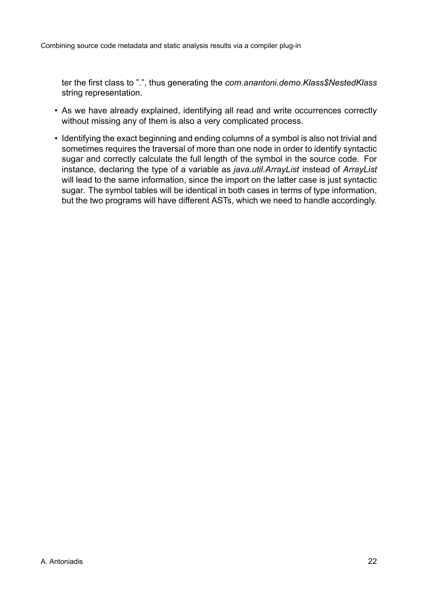ter the first class to ".", thus generating the *com.anantoni.demo.Klass\$NestedKlass* string representation.

- As we have already explained, identifying all read and write occurrences correctly without missing any of them is also a very complicated process.
- Identifying the exact beginning and ending columns of a symbol is also not trivial and sometimes requires the traversal of more than one node in order to identify syntactic sugar and correctly calculate the full length of the symbol in the source code. For instance, declaring the type of a variable as *java.util.ArrayList* instead of *ArrayList* will lead to the same information, since the import on the latter case is just syntactic sugar. The symbol tables will be identical in both cases in terms of type information, but the two programs will have different ASTs, which we need to handle accordingly.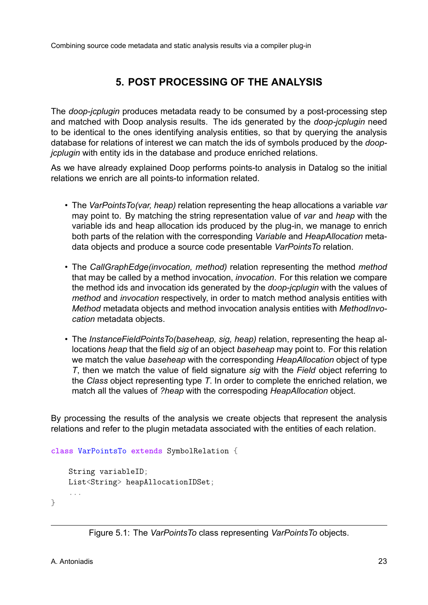# **5. POST PROCESSING OF THE ANALYSIS**

The *doop-jcplugin* produces metadata ready to be consumed by a post-processing step and matched with Doop analysis results. The ids generated by the *doop-jcplugin* need to be identical to the ones identifying analysis entities, so that by querying the analysis database for relations of interest we can match the ids of symbols produced by the *doopjcplugin* with entity ids in the database and produce enriched relations.

As we have already explained Doop performs points-to analysis in Datalog so the initial relations we enrich are all points-to information related.

- The *VarPointsTo(var, heap)* relation representing the heap allocations a variable *var* may point to. By matching the string representation value of *var* and *heap* with the variable ids and heap allocation ids produced by the plug-in, we manage to enrich both parts of the relation with the corresponding *Variable* and *HeapAllocation* metadata objects and produce a source code presentable *VarPointsTo* relation.
- The *CallGraphEdge(invocation, method)* relation representing the method *method* that may be called by a method invocation, *invocation*. For this relation we compare the method ids and invocation ids generated by the *doop-jcplugin* with the values of *method* and *invocation* respectively, in order to match method analysis entities with *Method* metadata objects and method invocation analysis entities with *MethodInvocation* metadata objects.
- The *InstanceFieldPointsTo(baseheap, sig, heap)* relation, representing the heap allocations *heap* that the field *sig* of an object *baseheap* may point to. For this relation we match the value *baseheap* with the corresponding *HeapAllocation* object of type *T*, then we match the value of field signature *sig* with the *Field* object referring to the *Class* object representing type *T*. In order to complete the enriched relation, we match all the values of *?heap* with the correspoding *HeapAllocation* object.

By processing the results of the analysis we create objects that represent the analysis relations and refer to the plugin metadata associated with the entities of each relation.

```
class VarPointsTo extends SymbolRelation {
    String variableID;
    List<String> heapAllocationIDSet;
    ...
}
```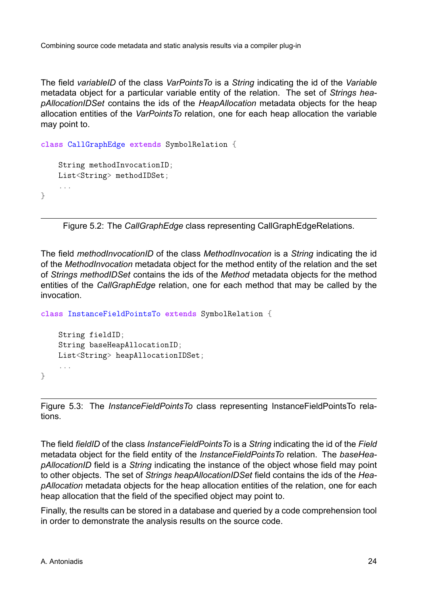The field *variableID* of the class *VarPointsTo* is a *String* indicating the id of the *Variable* metadata object for a particular variable entity of the relation. The set of *Strings heapAllocationIDSet* contains the ids of the *HeapAllocation* metadata objects for the heap allocation entities of the *VarPointsTo* relation, one for each heap allocation the variable may point to.

```
class CallGraphEdge extends SymbolRelation {
    String methodInvocationID;
    List<String> methodIDSet;
    ...
}
```
Figure 5.2: The *CallGraphEdge* class representing CallGraphEdgeRelations.

The field *methodInvocationID* of the class *MethodInvocation* is a *String* indicating the id of the *MethodInvocation* metadata object for the method entity of the relation and the set of *Strings methodIDSet* contains the ids of the *Method* metadata objects for the method entities of the *CallGraphEdge* relation, one for each method that may be called by the invocation.

```
class InstanceFieldPointsTo extends SymbolRelation {
```

```
String fieldID;
String baseHeapAllocationID;
List<String> heapAllocationIDSet;
...
```
Figure 5.3: The *InstanceFieldPointsTo* class representing InstanceFieldPointsTo relations.

The field *fieldID* of the class *InstanceFieldPointsTo* is a *String* indicating the id of the *Field* metadata object for the field entity of the *InstanceFieldPointsTo* relation. The *baseHeapAllocationID* field is a *String* indicating the instance of the object whose field may point to other objects. The set of *Strings heapAllocationIDSet* field contains the ids of the *HeapAllocation* metadata objects for the heap allocation entities of the relation, one for each heap allocation that the field of the specified object may point to.

Finally, the results can be stored in a database and queried by a code comprehension tool in order to demonstrate the analysis results on the source code.

}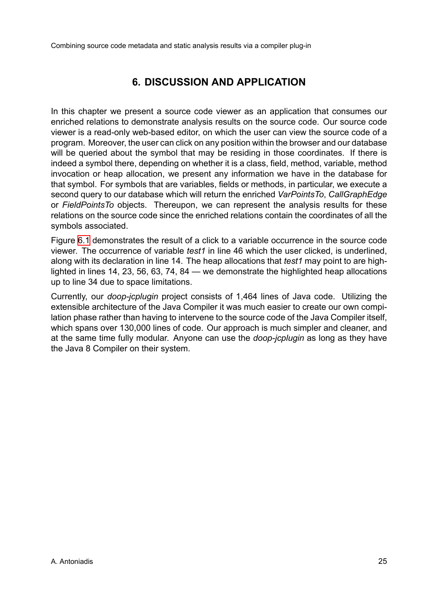# **6. DISCUSSION AND APPLICATION**

In this chapter we present a source code viewer as an application that consumes our enriched relations to demonstrate analysis results on the source code. Our source code viewer is a read-only web-based editor, on which the user can view the source code of a program. Moreover, the user can click on any position within the browser and our database will be queried about the symbol that may be residing in those coordinates. If there is indeed a symbol there, depending on whether it is a class, field, method, variable, method invocation or heap allocation, we present any information we have in the database for that symbol. For symbols that are variables, fields or methods, in particular, we execute a second query to our database which will return the enriched *VarPointsTo*, *CallGraphEdge* or *FieldPointsTo* objects. Thereupon, we can represent the analysis results for these relations on the source code since the enriched relations contain the coordinates of all the symbols associated.

Figure 6.1 demonstrates the result of a click to a variable occurrence in the source code viewer. The occurrence of variable *test1* in line 46 which the user clicked, is underlined, along with its declaration in line 14. The heap allocations that *test1* may point to are highlighted [in li](#page-36-0)nes 14, 23, 56, 63, 74, 84 — we demonstrate the highlighted heap allocations up to line 34 due to space limitations.

Currently, our *doop-jcplugin* project consists of 1,464 lines of Java code. Utilizing the extensible architecture of the Java Compiler it was much easier to create our own compilation phase rather than having to intervene to the source code of the Java Compiler itself, which spans over 130,000 lines of code. Our approach is much simpler and cleaner, and at the same time fully modular. Anyone can use the *doop-jcplugin* as long as they have the Java 8 Compiler on their system.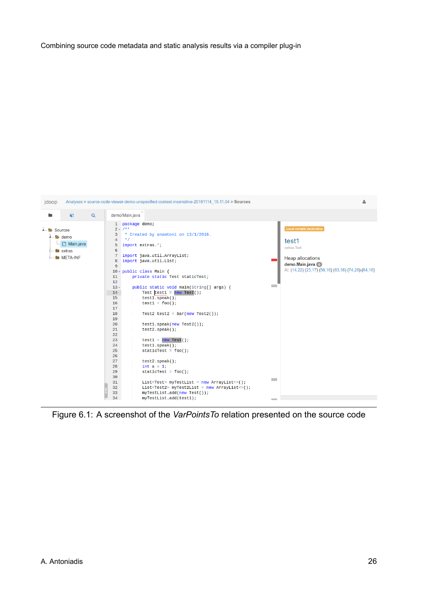<span id="page-36-0"></span>

Figure 6.1: A screenshot of the *VarPointsTo* relation presented on the source code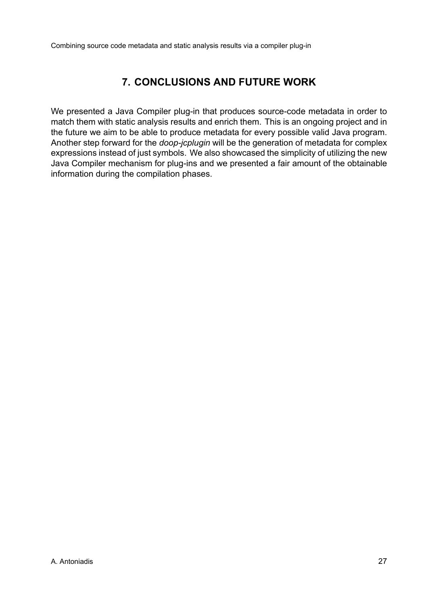# **7. CONCLUSIONS AND FUTURE WORK**

We presented a Java Compiler plug-in that produces source-code metadata in order to match them with static analysis results and enrich them. This is an ongoing project and in the future we aim to be able to produce metadata for every possible valid Java program. Another step forward for the *doop-jcplugin* will be the generation of metadata for complex expressions instead of just symbols. We also showcased the simplicity of utilizing the new Java Compiler mechanism for plug-ins and we presented a fair amount of the obtainable information during the compilation phases.